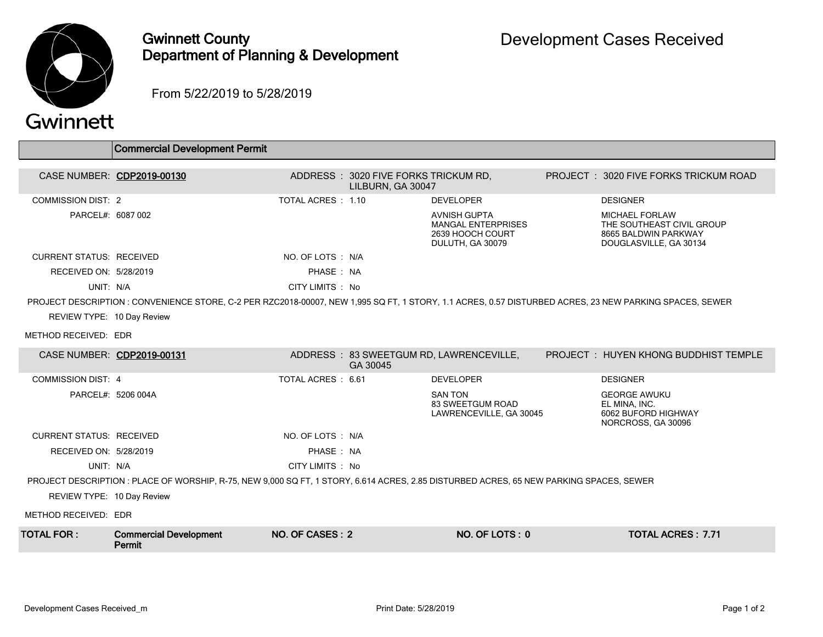

## Gwinnett County Department of Planning & Development

From 5/22/2019 to 5/28/2019

## Gwinnett

|                                                                                                                                         | <b>Commercial Development Permit</b>                                                                                                                    |                           |                                                           |                                                                                          |  |                                                                                                      |  |
|-----------------------------------------------------------------------------------------------------------------------------------------|---------------------------------------------------------------------------------------------------------------------------------------------------------|---------------------------|-----------------------------------------------------------|------------------------------------------------------------------------------------------|--|------------------------------------------------------------------------------------------------------|--|
| CASE NUMBER: CDP2019-00130                                                                                                              |                                                                                                                                                         |                           | ADDRESS: 3020 FIVE FORKS TRICKUM RD,<br>LILBURN. GA 30047 |                                                                                          |  | PROJECT: 3020 FIVE FORKS TRICKUM ROAD                                                                |  |
| <b>COMMISSION DIST: 2</b>                                                                                                               |                                                                                                                                                         | <b>TOTAL ACRES : 1.10</b> |                                                           | <b>DEVELOPER</b>                                                                         |  | <b>DESIGNER</b>                                                                                      |  |
| PARCEL#: 6087 002                                                                                                                       |                                                                                                                                                         |                           |                                                           | <b>AVNISH GUPTA</b><br><b>MANGAL ENTERPRISES</b><br>2639 HOOCH COURT<br>DULUTH, GA 30079 |  | <b>MICHAEL FORLAW</b><br>THE SOUTHEAST CIVIL GROUP<br>8665 BALDWIN PARKWAY<br>DOUGLASVILLE, GA 30134 |  |
| <b>CURRENT STATUS: RECEIVED</b>                                                                                                         |                                                                                                                                                         | NO. OF LOTS : N/A         |                                                           |                                                                                          |  |                                                                                                      |  |
| RECEIVED ON: 5/28/2019                                                                                                                  |                                                                                                                                                         | PHASE: NA                 |                                                           |                                                                                          |  |                                                                                                      |  |
| UNIT: N/A                                                                                                                               |                                                                                                                                                         | CITY LIMITS : No          |                                                           |                                                                                          |  |                                                                                                      |  |
|                                                                                                                                         | PROJECT DESCRIPTION : CONVENIENCE STORE, C-2 PER RZC2018-00007, NEW 1,995 SQ FT, 1 STORY, 1.1 ACRES, 0.57 DISTURBED ACRES, 23 NEW PARKING SPACES, SEWER |                           |                                                           |                                                                                          |  |                                                                                                      |  |
| REVIEW TYPE: 10 Day Review                                                                                                              |                                                                                                                                                         |                           |                                                           |                                                                                          |  |                                                                                                      |  |
| METHOD RECEIVED: EDR                                                                                                                    |                                                                                                                                                         |                           |                                                           |                                                                                          |  |                                                                                                      |  |
| CASE NUMBER: CDP2019-00131                                                                                                              |                                                                                                                                                         |                           | GA 30045                                                  | ADDRESS: 83 SWEETGUM RD, LAWRENCEVILLE,                                                  |  | PROJECT: HUYEN KHONG BUDDHIST TEMPLE                                                                 |  |
| <b>COMMISSION DIST: 4</b>                                                                                                               |                                                                                                                                                         | TOTAL ACRES: 6.61         |                                                           | <b>DEVELOPER</b>                                                                         |  | <b>DESIGNER</b>                                                                                      |  |
| PARCEL#: 5206 004A                                                                                                                      |                                                                                                                                                         |                           |                                                           | <b>SAN TON</b><br>83 SWEETGUM ROAD<br>LAWRENCEVILLE, GA 30045                            |  | <b>GEORGE AWUKU</b><br>EL MINA, INC.<br>6062 BUFORD HIGHWAY<br>NORCROSS, GA 30096                    |  |
| <b>CURRENT STATUS: RECEIVED</b>                                                                                                         |                                                                                                                                                         | NO. OF LOTS: N/A          |                                                           |                                                                                          |  |                                                                                                      |  |
| RECEIVED ON: 5/28/2019                                                                                                                  |                                                                                                                                                         | PHASE: NA                 |                                                           |                                                                                          |  |                                                                                                      |  |
| UNIT: N/A                                                                                                                               |                                                                                                                                                         | CITY LIMITS : No          |                                                           |                                                                                          |  |                                                                                                      |  |
| PROJECT DESCRIPTION : PLACE OF WORSHIP, R-75, NEW 9,000 SQ FT, 1 STORY, 6.614 ACRES, 2.85 DISTURBED ACRES, 65 NEW PARKING SPACES, SEWER |                                                                                                                                                         |                           |                                                           |                                                                                          |  |                                                                                                      |  |
| REVIEW TYPE: 10 Day Review                                                                                                              |                                                                                                                                                         |                           |                                                           |                                                                                          |  |                                                                                                      |  |
| METHOD RECEIVED: EDR                                                                                                                    |                                                                                                                                                         |                           |                                                           |                                                                                          |  |                                                                                                      |  |
| <b>TOTAL FOR:</b>                                                                                                                       | <b>Commercial Development</b><br>Permit                                                                                                                 | NO. OF CASES: 2           |                                                           | NO. OF LOTS: 0                                                                           |  | <b>TOTAL ACRES: 7.71</b>                                                                             |  |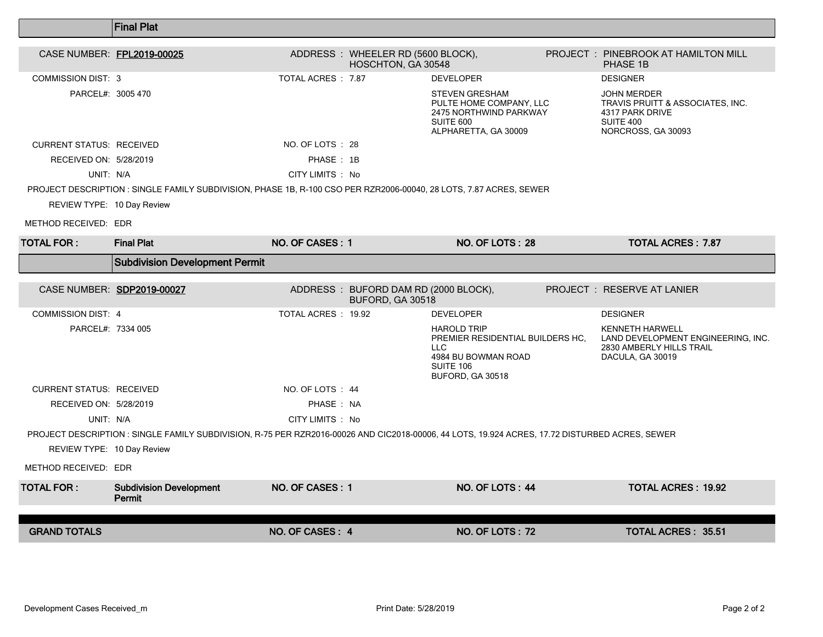|                                 | <b>Final Plat</b>                                                                                                                              |                    |                                                          |                                                                                                                        |                                                                                                              |
|---------------------------------|------------------------------------------------------------------------------------------------------------------------------------------------|--------------------|----------------------------------------------------------|------------------------------------------------------------------------------------------------------------------------|--------------------------------------------------------------------------------------------------------------|
| CASE NUMBER: FPL2019-00025      |                                                                                                                                                |                    | ADDRESS : WHEELER RD (5600 BLOCK),<br>HOSCHTON, GA 30548 |                                                                                                                        | <b>PROJECT : PINEBROOK AT HAMILTON MILL</b><br>PHASE 1B                                                      |
| <b>COMMISSION DIST: 3</b>       |                                                                                                                                                | TOTAL ACRES : 7.87 |                                                          | <b>DEVELOPER</b>                                                                                                       | <b>DESIGNER</b>                                                                                              |
| PARCEL#: 3005 470               |                                                                                                                                                |                    |                                                          | <b>STEVEN GRESHAM</b><br>PULTE HOME COMPANY, LLC<br>2475 NORTHWIND PARKWAY<br>SUITE 600<br>ALPHARETTA, GA 30009        | <b>JOHN MERDER</b><br>TRAVIS PRUITT & ASSOCIATES, INC.<br>4317 PARK DRIVE<br>SUITE 400<br>NORCROSS, GA 30093 |
| <b>CURRENT STATUS: RECEIVED</b> |                                                                                                                                                | NO. OF LOTS : 28   |                                                          |                                                                                                                        |                                                                                                              |
| RECEIVED ON: 5/28/2019          |                                                                                                                                                | PHASE: 1B          |                                                          |                                                                                                                        |                                                                                                              |
| UNIT: N/A                       |                                                                                                                                                | CITY LIMITS : No   |                                                          |                                                                                                                        |                                                                                                              |
|                                 | PROJECT DESCRIPTION : SINGLE FAMILY SUBDIVISION, PHASE 1B, R-100 CSO PER RZR2006-00040, 28 LOTS, 7.87 ACRES, SEWER                             |                    |                                                          |                                                                                                                        |                                                                                                              |
| REVIEW TYPE: 10 Day Review      |                                                                                                                                                |                    |                                                          |                                                                                                                        |                                                                                                              |
| METHOD RECEIVED: EDR            |                                                                                                                                                |                    |                                                          |                                                                                                                        |                                                                                                              |
| TOTAL FOR :                     | <b>Final Plat</b>                                                                                                                              | NO. OF CASES: 1    |                                                          | NO. OF LOTS: 28                                                                                                        | <b>TOTAL ACRES: 7.87</b>                                                                                     |
|                                 | <b>Subdivision Development Permit</b>                                                                                                          |                    |                                                          |                                                                                                                        |                                                                                                              |
|                                 | CASE NUMBER: SDP2019-00027                                                                                                                     |                    | ADDRESS: BUFORD DAM RD (2000 BLOCK),<br>BUFORD, GA 30518 |                                                                                                                        | <b>PROJECT : RESERVE AT LANIER</b>                                                                           |
| <b>COMMISSION DIST: 4</b>       |                                                                                                                                                | TOTAL ACRES: 1992  |                                                          | <b>DEVELOPER</b>                                                                                                       | <b>DESIGNER</b>                                                                                              |
| PARCEL#: 7334 005               |                                                                                                                                                |                    |                                                          | <b>HAROLD TRIP</b><br>PREMIER RESIDENTIAL BUILDERS HC.<br>LLC.<br>4984 BU BOWMAN ROAD<br>SUITE 106<br>BUFORD, GA 30518 | <b>KENNETH HARWELL</b><br>LAND DEVELOPMENT ENGINEERING, INC.<br>2830 AMBERLY HILLS TRAIL<br>DACULA, GA 30019 |
| <b>CURRENT STATUS: RECEIVED</b> |                                                                                                                                                | NO. OF LOTS : 44   |                                                          |                                                                                                                        |                                                                                                              |
| RECEIVED ON: 5/28/2019          |                                                                                                                                                |                    |                                                          |                                                                                                                        |                                                                                                              |
|                                 |                                                                                                                                                | PHASE: NA          |                                                          |                                                                                                                        |                                                                                                              |
| UNIT: N/A                       |                                                                                                                                                | CITY LIMITS : No   |                                                          |                                                                                                                        |                                                                                                              |
|                                 | PROJECT DESCRIPTION : SINGLE FAMILY SUBDIVISION, R-75 PER RZR2016-00026 AND CIC2018-00006, 44 LOTS, 19.924 ACRES, 17.72 DISTURBED ACRES, SEWER |                    |                                                          |                                                                                                                        |                                                                                                              |
| REVIEW TYPE: 10 Day Review      |                                                                                                                                                |                    |                                                          |                                                                                                                        |                                                                                                              |
| METHOD RECEIVED: EDR            |                                                                                                                                                |                    |                                                          |                                                                                                                        |                                                                                                              |
| <b>TOTAL FOR:</b>               | <b>Subdivision Development</b><br>Permit                                                                                                       | NO. OF CASES: 1    |                                                          | NO. OF LOTS: 44                                                                                                        | <b>TOTAL ACRES: 19.92</b>                                                                                    |
| <b>GRAND TOTALS</b>             |                                                                                                                                                | NO. OF CASES: 4    |                                                          | <b>NO. OF LOTS: 72</b>                                                                                                 | <b>TOTAL ACRES: 35.51</b>                                                                                    |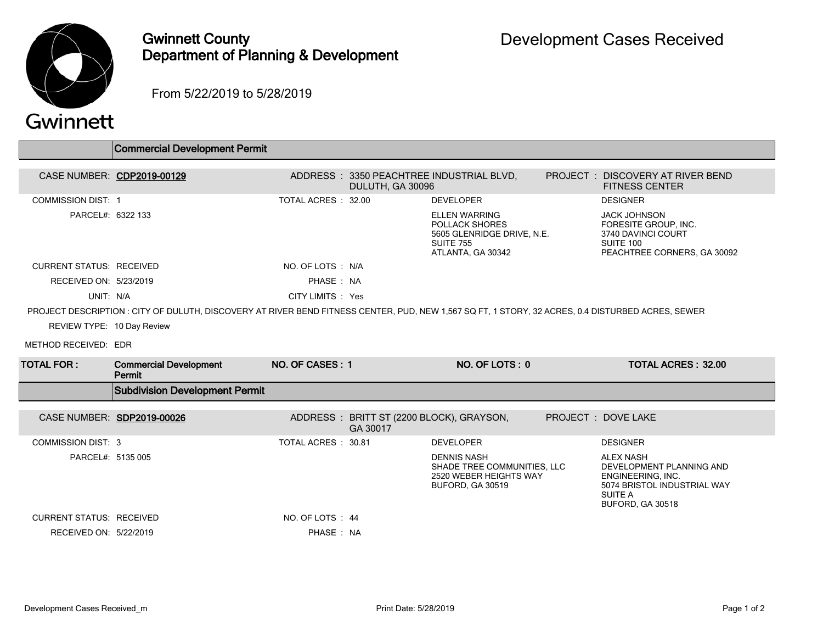

## Gwinnett County Department of Planning & Development

From 5/22/2019 to 5/28/2019

## Gwinnett

|                                 | Commercial Development Permit                                                                                                                     |                    |                                                      |                                                                                                               |                                                                                                                                 |  |
|---------------------------------|---------------------------------------------------------------------------------------------------------------------------------------------------|--------------------|------------------------------------------------------|---------------------------------------------------------------------------------------------------------------|---------------------------------------------------------------------------------------------------------------------------------|--|
|                                 | CASE NUMBER: CDP2019-00129                                                                                                                        |                    | DULUTH, GA 30096                                     | ADDRESS : 3350 PEACHTREE INDUSTRIAL BLVD.                                                                     | PROJECT: DISCOVERY AT RIVER BEND<br><b>FITNESS CENTER</b>                                                                       |  |
| <b>COMMISSION DIST: 1</b>       |                                                                                                                                                   | TOTAL ACRES: 32.00 |                                                      | <b>DEVELOPER</b>                                                                                              | <b>DESIGNER</b>                                                                                                                 |  |
| PARCEL#: 6322 133               |                                                                                                                                                   |                    |                                                      | <b>ELLEN WARRING</b><br>POLLACK SHORES<br>5605 GLENRIDGE DRIVE, N.E.<br><b>SUITE 755</b><br>ATLANTA, GA 30342 | <b>JACK JOHNSON</b><br>FORESITE GROUP, INC.<br>3740 DAVINCI COURT<br>SUITE 100<br>PEACHTREE CORNERS, GA 30092                   |  |
| <b>CURRENT STATUS: RECEIVED</b> |                                                                                                                                                   | NO. OF LOTS : N/A  |                                                      |                                                                                                               |                                                                                                                                 |  |
| RECEIVED ON: 5/23/2019          |                                                                                                                                                   | PHASE: NA          |                                                      |                                                                                                               |                                                                                                                                 |  |
| UNIT: N/A                       |                                                                                                                                                   | CITY LIMITS : Yes  |                                                      |                                                                                                               |                                                                                                                                 |  |
|                                 | PROJECT DESCRIPTION : CITY OF DULUTH, DISCOVERY AT RIVER BEND FITNESS CENTER, PUD, NEW 1,567 SQ FT, 1 STORY, 32 ACRES, 0.4 DISTURBED ACRES, SEWER |                    |                                                      |                                                                                                               |                                                                                                                                 |  |
| REVIEW TYPE: 10 Day Review      |                                                                                                                                                   |                    |                                                      |                                                                                                               |                                                                                                                                 |  |
| METHOD RECEIVED: EDR            |                                                                                                                                                   |                    |                                                      |                                                                                                               |                                                                                                                                 |  |
|                                 |                                                                                                                                                   |                    |                                                      |                                                                                                               |                                                                                                                                 |  |
| TOTAL FOR :                     | <b>Commercial Development</b><br>Permit                                                                                                           | NO. OF CASES: 1    |                                                      | NO. OF LOTS: 0                                                                                                | <b>TOTAL ACRES: 32.00</b>                                                                                                       |  |
|                                 | <b>Subdivision Development Permit</b>                                                                                                             |                    |                                                      |                                                                                                               |                                                                                                                                 |  |
| CASE NUMBER: SDP2019-00026      |                                                                                                                                                   |                    | ADDRESS: BRITT ST (2200 BLOCK), GRAYSON,<br>GA 30017 |                                                                                                               | PROJECT: DOVE LAKE                                                                                                              |  |
| <b>COMMISSION DIST: 3</b>       |                                                                                                                                                   | TOTAL ACRES: 30.81 |                                                      | <b>DEVELOPER</b>                                                                                              | <b>DESIGNER</b>                                                                                                                 |  |
| PARCEL#: 5135 005               |                                                                                                                                                   |                    |                                                      | <b>DENNIS NASH</b><br>SHADE TREE COMMUNITIES, LLC<br>2520 WEBER HEIGHTS WAY<br><b>BUFORD, GA 30519</b>        | <b>ALEX NASH</b><br>DEVELOPMENT PLANNING AND<br>ENGINEERING, INC.<br>5074 BRISTOL INDUSTRIAL WAY<br>SUITE A<br>BUFORD, GA 30518 |  |
| <b>CURRENT STATUS: RECEIVED</b> |                                                                                                                                                   | NO. OF LOTS : 44   |                                                      |                                                                                                               |                                                                                                                                 |  |
| RECEIVED ON: 5/22/2019          |                                                                                                                                                   | PHASE: NA          |                                                      |                                                                                                               |                                                                                                                                 |  |